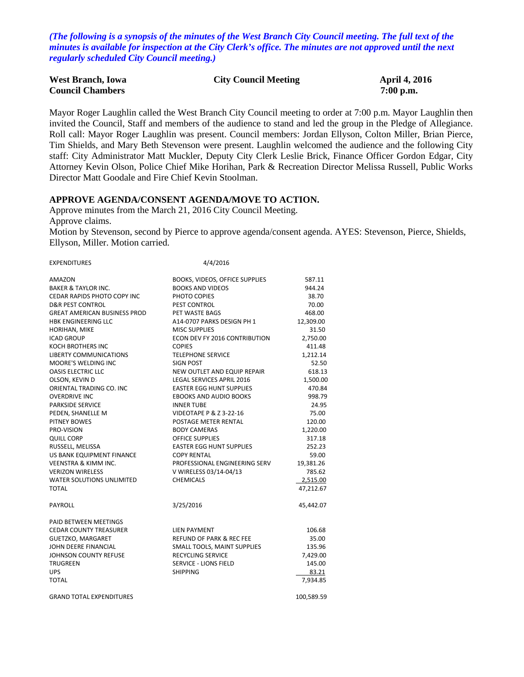*(The following is a synopsis of the minutes of the West Branch City Council meeting. The full text of the minutes is available for inspection at the City Clerk's office. The minutes are not approved until the next regularly scheduled City Council meeting.)*

| <b>West Branch, Iowa</b> | <b>City Council Meeting</b> | <b>April 4, 2016</b> |
|--------------------------|-----------------------------|----------------------|
| <b>Council Chambers</b>  |                             | $7:00$ p.m.          |

Mayor Roger Laughlin called the West Branch City Council meeting to order at 7:00 p.m. Mayor Laughlin then invited the Council, Staff and members of the audience to stand and led the group in the Pledge of Allegiance. Roll call: Mayor Roger Laughlin was present. Council members: Jordan Ellyson, Colton Miller, Brian Pierce, Tim Shields, and Mary Beth Stevenson were present. Laughlin welcomed the audience and the following City staff: City Administrator Matt Muckler, Deputy City Clerk Leslie Brick, Finance Officer Gordon Edgar, City Attorney Kevin Olson, Police Chief Mike Horihan, Park & Recreation Director Melissa Russell, Public Works Director Matt Goodale and Fire Chief Kevin Stoolman.

#### **APPROVE AGENDA/CONSENT AGENDA/MOVE TO ACTION.**

Approve minutes from the March 21, 2016 City Council Meeting. Approve claims. Motion by Stevenson, second by Pierce to approve agenda/consent agenda. AYES: Stevenson, Pierce, Shields, Ellyson, Miller. Motion carried.

| <b>EXPENDITURES</b>                 | 4/4/2016                           |            |
|-------------------------------------|------------------------------------|------------|
| AMAZON                              | BOOKS, VIDEOS, OFFICE SUPPLIES     | 587.11     |
| <b>BAKER &amp; TAYLOR INC.</b>      | <b>BOOKS AND VIDEOS</b>            | 944.24     |
| <b>CEDAR RAPIDS PHOTO COPY INC</b>  | PHOTO COPIES                       | 38.70      |
| <b>D&amp;R PEST CONTROL</b>         | PEST CONTROL                       | 70.00      |
| <b>GREAT AMERICAN BUSINESS PROD</b> | PET WASTE BAGS                     | 468.00     |
| <b>HBK ENGINEERING LLC</b>          | A14-0707 PARKS DESIGN PH 1         | 12,309.00  |
| HORIHAN, MIKE                       | <b>MISC SUPPLIES</b>               | 31.50      |
| <b>ICAD GROUP</b>                   | ECON DEV FY 2016 CONTRIBUTION      | 2,750.00   |
| <b>KOCH BROTHERS INC</b>            | <b>COPIES</b>                      | 411.48     |
| LIBERTY COMMUNICATIONS              | <b>TELEPHONE SERVICE</b>           | 1,212.14   |
| <b>MOORE'S WELDING INC</b>          | <b>SIGN POST</b>                   | 52.50      |
| <b>OASIS ELECTRIC LLC</b>           | NEW OUTLET AND EQUIP REPAIR        | 618.13     |
| OLSON, KEVIN D                      | <b>LEGAL SERVICES APRIL 2016</b>   | 1,500.00   |
| ORIENTAL TRADING CO. INC            | <b>EASTER EGG HUNT SUPPLIES</b>    | 470.84     |
| <b>OVERDRIVE INC</b>                | <b>EBOOKS AND AUDIO BOOKS</b>      | 998.79     |
| <b>PARKSIDE SERVICE</b>             | <b>INNER TUBE</b>                  | 24.95      |
| PEDEN, SHANELLE M                   | <b>VIDEOTAPE P &amp; Z 3-22-16</b> | 75.00      |
| PITNEY BOWES                        | POSTAGE METER RENTAL               | 120.00     |
| PRO-VISION                          | <b>BODY CAMERAS</b>                | 1,220.00   |
| <b>QUILL CORP</b>                   | <b>OFFICE SUPPLIES</b>             | 317.18     |
| RUSSELL, MELISSA                    | <b>EASTER EGG HUNT SUPPLIES</b>    | 252.23     |
| US BANK EQUIPMENT FINANCE           | <b>COPY RENTAL</b>                 | 59.00      |
| <b>VEENSTRA &amp; KIMM INC.</b>     | PROFESSIONAL ENGINEERING SERV      | 19,381.26  |
| <b>VERIZON WIRELESS</b>             | V WIRELESS 03/14-04/13             | 785.62     |
| <b>WATER SOLUTIONS UNLIMITED</b>    | <b>CHEMICALS</b>                   | 2,515.00   |
| <b>TOTAL</b>                        |                                    | 47,212.67  |
| PAYROLL                             | 3/25/2016                          | 45,442.07  |
| PAID BETWEEN MEETINGS               |                                    |            |
| <b>CEDAR COUNTY TREASURER</b>       | LIEN PAYMENT                       | 106.68     |
| <b>GUETZKO, MARGARET</b>            | REFUND OF PARK & REC FEE           | 35.00      |
| JOHN DEERE FINANCIAL                | SMALL TOOLS, MAINT SUPPLIES        | 135.96     |
| JOHNSON COUNTY REFUSE               | <b>RECYCLING SERVICE</b>           | 7,429.00   |
| TRUGREEN                            | <b>SERVICE - LIONS FIELD</b>       | 145.00     |
| <b>UPS</b>                          | <b>SHIPPING</b>                    | 83.21      |
| <b>TOTAL</b>                        |                                    | 7,934.85   |
| <b>GRAND TOTAL EXPENDITURES</b>     |                                    | 100,589.59 |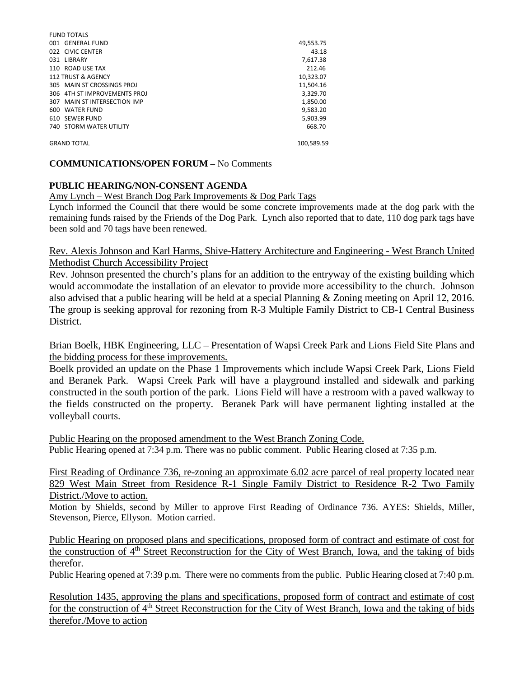| <b>FUND TOTALS</b>             |            |
|--------------------------------|------------|
| 001 GENERAL FUND               | 49,553.75  |
| 022 CIVIC CENTER               | 43.18      |
| 031 LIBRARY                    | 7,617.38   |
| 110 ROAD USE TAX               | 212.46     |
| 112 TRUST & AGENCY             | 10,323.07  |
| 305 MAIN ST CROSSINGS PROJ     | 11.504.16  |
| 306 4TH ST IMPROVEMENTS PROJ   | 3,329.70   |
| 307 MAIN ST INTERSECTION IMP   | 1.850.00   |
| 600 WATER FUND                 | 9,583.20   |
| 610 SEWER FUND                 | 5.903.99   |
| <b>740 STORM WATER UTILITY</b> | 668.70     |
|                                |            |
| <b>GRAND TOTAL</b>             | 100,589.59 |

### **COMMUNICATIONS/OPEN FORUM –** No Comments

### **PUBLIC HEARING/NON-CONSENT AGENDA**

### Amy Lynch – West Branch Dog Park Improvements & Dog Park Tags

Lynch informed the Council that there would be some concrete improvements made at the dog park with the remaining funds raised by the Friends of the Dog Park. Lynch also reported that to date, 110 dog park tags have been sold and 70 tags have been renewed.

# Rev. Alexis Johnson and Karl Harms, Shive-Hattery Architecture and Engineering - West Branch United Methodist Church Accessibility Project

Rev. Johnson presented the church's plans for an addition to the entryway of the existing building which would accommodate the installation of an elevator to provide more accessibility to the church. Johnson also advised that a public hearing will be held at a special Planning & Zoning meeting on April 12, 2016. The group is seeking approval for rezoning from R-3 Multiple Family District to CB-1 Central Business District.

## Brian Boelk, HBK Engineering, LLC – Presentation of Wapsi Creek Park and Lions Field Site Plans and the bidding process for these improvements.

Boelk provided an update on the Phase 1 Improvements which include Wapsi Creek Park, Lions Field and Beranek Park. Wapsi Creek Park will have a playground installed and sidewalk and parking constructed in the south portion of the park. Lions Field will have a restroom with a paved walkway to the fields constructed on the property. Beranek Park will have permanent lighting installed at the volleyball courts.

Public Hearing on the proposed amendment to the West Branch Zoning Code. Public Hearing opened at 7:34 p.m. There was no public comment. Public Hearing closed at 7:35 p.m.

First Reading of Ordinance 736, re-zoning an approximate 6.02 acre parcel of real property located near 829 West Main Street from Residence R-1 Single Family District to Residence R-2 Two Family District./Move to action.

Motion by Shields, second by Miller to approve First Reading of Ordinance 736. AYES: Shields, Miller, Stevenson, Pierce, Ellyson. Motion carried.

Public Hearing on proposed plans and specifications, proposed form of contract and estimate of cost for the construction of  $4<sup>th</sup>$  Street Reconstruction for the City of West Branch, Iowa, and the taking of bids therefor.

Public Hearing opened at 7:39 p.m. There were no comments from the public. Public Hearing closed at 7:40 p.m.

Resolution 1435, approving the plans and specifications, proposed form of contract and estimate of cost for the construction of 4<sup>th</sup> Street Reconstruction for the City of West Branch, Iowa and the taking of bids therefor./Move to action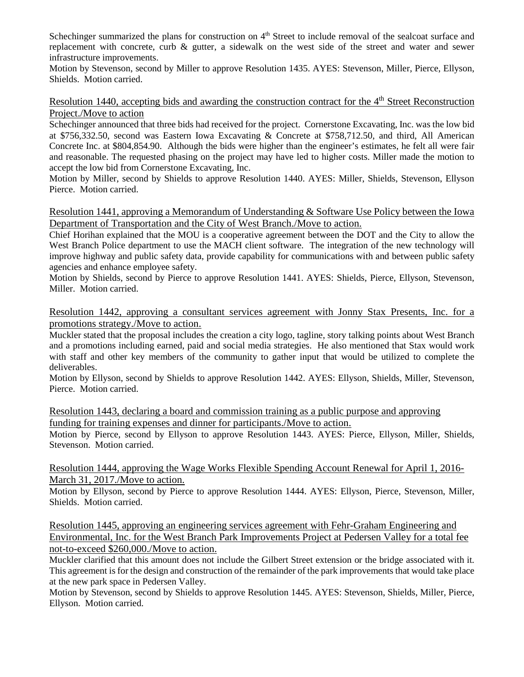Schechinger summarized the plans for construction on 4<sup>th</sup> Street to include removal of the sealcoat surface and replacement with concrete, curb & gutter, a sidewalk on the west side of the street and water and sewer infrastructure improvements.

Motion by Stevenson, second by Miller to approve Resolution 1435. AYES: Stevenson, Miller, Pierce, Ellyson, Shields. Motion carried.

Resolution 1440, accepting bids and awarding the construction contract for the 4<sup>th</sup> Street Reconstruction Project./Move to action

Schechinger announced that three bids had received for the project. Cornerstone Excavating, Inc. was the low bid at \$756,332.50, second was Eastern Iowa Excavating & Concrete at \$758,712.50, and third, All American Concrete Inc. at \$804,854.90. Although the bids were higher than the engineer's estimates, he felt all were fair and reasonable. The requested phasing on the project may have led to higher costs. Miller made the motion to accept the low bid from Cornerstone Excavating, Inc.

Motion by Miller, second by Shields to approve Resolution 1440. AYES: Miller, Shields, Stevenson, Ellyson Pierce. Motion carried.

Resolution 1441, approving a Memorandum of Understanding & Software Use Policy between the Iowa Department of Transportation and the City of West Branch./Move to action.

Chief Horihan explained that the MOU is a cooperative agreement between the DOT and the City to allow the West Branch Police department to use the MACH client software. The integration of the new technology will improve highway and public safety data, provide capability for communications with and between public safety agencies and enhance employee safety.

Motion by Shields, second by Pierce to approve Resolution 1441. AYES: Shields, Pierce, Ellyson, Stevenson, Miller. Motion carried.

Resolution 1442, approving a consultant services agreement with Jonny Stax Presents, Inc. for a promotions strategy./Move to action.

Muckler stated that the proposal includes the creation a city logo, tagline, story talking points about West Branch and a promotions including earned, paid and social media strategies. He also mentioned that Stax would work with staff and other key members of the community to gather input that would be utilized to complete the deliverables.

Motion by Ellyson, second by Shields to approve Resolution 1442. AYES: Ellyson, Shields, Miller, Stevenson, Pierce. Motion carried.

Resolution 1443, declaring a board and commission training as a public purpose and approving funding for training expenses and dinner for participants./Move to action.

Motion by Pierce, second by Ellyson to approve Resolution 1443. AYES: Pierce, Ellyson, Miller, Shields, Stevenson. Motion carried.

Resolution 1444, approving the Wage Works Flexible Spending Account Renewal for April 1, 2016- March 31, 2017./Move to action.

Motion by Ellyson, second by Pierce to approve Resolution 1444. AYES: Ellyson, Pierce, Stevenson, Miller, Shields. Motion carried.

Resolution 1445, approving an engineering services agreement with Fehr-Graham Engineering and Environmental, Inc. for the West Branch Park Improvements Project at Pedersen Valley for a total fee not-to-exceed \$260,000./Move to action.

Muckler clarified that this amount does not include the Gilbert Street extension or the bridge associated with it. This agreement is for the design and construction of the remainder of the park improvements that would take place at the new park space in Pedersen Valley.

Motion by Stevenson, second by Shields to approve Resolution 1445. AYES: Stevenson, Shields, Miller, Pierce, Ellyson. Motion carried.